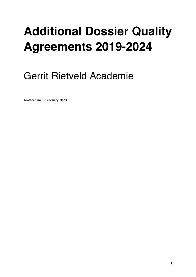# **Additional Dossier Quality Agreements 2019-2024**

# Gerrit Rietveld Academie

Amsterdam, 6 February 2020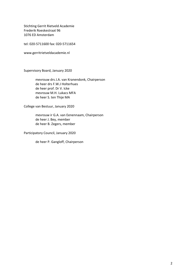Stichting Gerrit Rietveld Academie Frederik Roeskestraat 96 1076 ED Amsterdam

tel: 020-5711600 fax: 020-5711654

www.gerritrietveldacademie.nl

Supervisory Board, January 2020

mevrouw drs J.A. van Kranendonk, Chairperson de heer drs F.W.J Holterhues de heer prof. Dr V. Icke mevrouw M.H. Lukacs MFA de heer S. ten Thije MA

College van Bestuur, January 2020

mevrouw ir G.A. van Eenennaam, Chairperson de heer J. Bey, member de heer B. Zegers, member

Participatory Council, January 2020

de heer P. Gangloff, Chairperson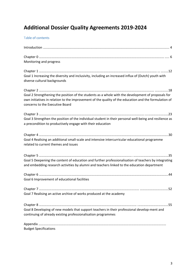# **Additional Dossier Quality Agreements 2019-2024**

# Table of contents

| Monitoring and progress                                                                                                                                                                                                                        |  |
|------------------------------------------------------------------------------------------------------------------------------------------------------------------------------------------------------------------------------------------------|--|
|                                                                                                                                                                                                                                                |  |
| Goal 1 Increasing the diversity and inclusivity, including an increased influx of (Dutch) youth with<br>diverse cultural backgrounds                                                                                                           |  |
|                                                                                                                                                                                                                                                |  |
| Goal 2 Strengthening the position of the students as a whole with the development of proposals for<br>own initiatives in relation to the improvement of the quality of the education and the formulation of<br>concerns to the Executive Board |  |
|                                                                                                                                                                                                                                                |  |
| Goal 3 Strengthen the position of the individual student in their personal well-being and resilience as<br>a precondition to productively engage with their education                                                                          |  |
|                                                                                                                                                                                                                                                |  |
| Goal 4 Realising an additional small-scale and intensive intercurricular educational programme<br>related to current themes and issues                                                                                                         |  |
|                                                                                                                                                                                                                                                |  |
| Goal 5 Deepening the content of education and further professionalisation of teachers by integrating<br>and embedding research activities by alumni and teachers linked to the education department                                            |  |
|                                                                                                                                                                                                                                                |  |
| Goal 6 Improvement of educational facilities                                                                                                                                                                                                   |  |
|                                                                                                                                                                                                                                                |  |
| Goal 7 Realising an active archive of works produced at the academy                                                                                                                                                                            |  |
|                                                                                                                                                                                                                                                |  |
| Goal 8 Developing of new models that support teachers in their professional develop-ment and<br>continuing of already existing professionalisation programmes                                                                                  |  |
|                                                                                                                                                                                                                                                |  |
| <b>Budget Specifications</b>                                                                                                                                                                                                                   |  |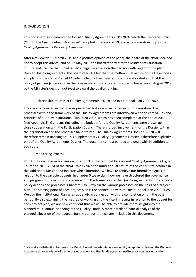# **INTRODUCTION**

This document supplements the Dossier Quality Agreements 2019-2024, which the Executive Board (CvB) of the Gerrit Rietveld Academie1<sup>1</sup> adopted in January 2019, and which was drawn up in the Quality Agreements Recovery Assessment.

After a review on 11 March 2019 and a positive opinion of the panel, the board of the NVAO decided not to adopt this advice, and on 27 May 2019 the board reported to the Minister of Education, Culture and Science that it had issued a negative advice on the decision with regard to the plan Dossier Quality Agreements. The board of NVAO felt that the multi-annual nature of the trajectories and plans of the Gerrit Rietveld Academie had not yet been sufficiently elaborated and that the policy objectives (criterion 3) in the Dossier were too concrete. This was followed on 20 August 2019 by the Minister's decision not (yet) to award the quality funding.

#### Relationship to Dossier Quality Agreements (2019) and Institutional Plan 2020-2025

The vision expressed in the Dossier presented last year is anchored in our organisation. The processes within the framework of the Quality Agreements are interwoven with the core values and priorities of our new Institutional Plan 2020-2025, which has been completed at the end of 2019 (see Appendix 1). Our plans (including the budget) for the Quality Agreements were drawn up in close cooperation with the Participation Council. There is broad involvement for the Dossier within the organisation and the processes have started. The Quality Agreements Dossier (2019) will therefore remain unchanged. This Supplementary Quality Agreements Dossier is therefore explicitly part of the Quality Agreements Dossier. The documents must be read and dealt with in addition to each other.

#### Monitoring Process

This Additional Dossier focuses on criterion 3 of the protocol Assessment Quality Agreements Higher Education 2019-2024 of the NVAO. We explain the multi-annual nature of the various trajectories in this Additional Dossier and indicate which intentions we have to achieve our formulated goals in relation to the available budgets. In chapter 0 we explain how we have structured the governance and progress of the various processes within the framework of the Quality Agreements into concrete policy actions and processes. Chapters 1 to 8 explain the various processes on the basis of a project plan. The starting point of each project plan is the connection with the Institutional Plan 2020-2025. We add the Institutional Plan as an appendix in connection with the completion of it in the past period. By also explaining the method of working and the interim results in relation to the budget for each project plan, we are now confident that we will be able to provide more insight into the planned multi-annual spending of the Quality Funds. A more detailed financial analysis of the planned allocation of the budgets for the various projects are included in this document.

 $1$  We make a distinction between the Gerrit Rietveld Academie as a university of applied sciences, the Rietveld Academie as an academy of bachelor's education and the Sandberg as an institute for master's education.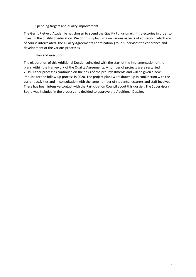#### Spending targets and quality improvement

The Gerrit Rietveld Academie has chosen to spend the Quality Funds on eight trajectories in order to invest in the quality of education. We do this by focusing on various aspects of education, which are of course interrelated. The Quality Agreements coordination group supervises the coherence and development of the various processes.

#### Plan and execution

The elaboration of this Additional Dossier coincided with the start of the implementation of the plans within the framework of the Quality Agreements. A number of projects were restarted in 2019. Other processes continued on the basis of the pre-investments and will be given a new impulse for the follow-up process in 2020. The project plans were drawn up in conjunction with the current activities and in consultation with the large number of students, lecturers and staff involved. There has been intensive contact with the Participation Council about this dossier. The Supervisory Board was included in the process and decided to approve the Additional Dossier.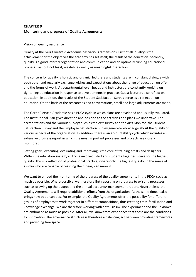# **CHAPTER 0 Monitoring and progress of Quality Agreements**

#### Vision on quality assurance

Quality at the Gerrit Rietveld Academie has various dimensions. First of all, quality is the achievement of the objectives the academy has set itself; the result of the education. Secondly, quality is a good internal organization and communication and an optimally running educational process. Last but not least, we define quality as meaningful interaction.

The concern for quality is holistic and organic; lecturers and students are in constant dialogue with each other and regularly exchange wishes and expectations about the range of education on offer and the forms of work. At departmental level, heads and instructors are constantly working on tightening up education in response to developments in practice. Guest lecturers also reflect on education. In addition, the results of the Student Satisfaction Survey serve as a reflection on education. On the basis of the researches and conversations, small and large adjustments are made.

The Gerrit Rietveld Academie has a PDCA cycle in which plans are developed and usually evaluated. The Institutional Plan gives direction and position to the activities and plans we undertake. The accreditations and the various surveys such as the exit survey and the Arts Monitor, the Student Satisfaction Survey and the Employee Satisfaction Survey generate knowledge about the quality of various aspects of the organisation. In addition, there is an accountability cycle which includes an extensive progress report in which the most important processes and projects are closely monitored.

Setting goals, executing, evaluating and improving is the core of training artists and designers. Within the education system, all those involved, staff and students together, strive for the highest quality. This is a reflection of professional practice, where only the highest quality, in the sense of alumni who are capable of realizing their ideas, can make it.

We want to embed the monitoring of the progress of the quality agreements in the PDCA cycle as much as possible. Where possible, we therefore link reporting on progress to existing processes, such as drawing up the budget and the annual accounts/ management report. Nevertheless, the Quality Agreements will require additional efforts from the organisation. At the same time, it also brings new opportunities. For example, the Quality Agreements offer the possibility for different groups of employees to work together in different compositions, thus creating cross-fertilisation and knowledge exchange. We are therefore working with enthusiasm. The experiment and the unknown are embraced as much as possible. After all, we know from experience that these are the conditions for innovation. The governance structure is therefore a balancing act between providing frameworks and providing free space.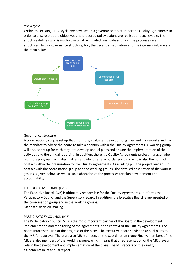#### *PDCA cycle*

Within the existing PDCA cycle, we have set up a governance structure for the Quality Agreements in order to ensure that the objectives and proposed policy actions are realistic and achievable. The structure defines who is involved in what, with which mandate and how the processes are structured. In this governance structure, too, the decentralised nature and the internal dialogue are the main pillars.



#### Governance structure

A coordination group is set up that monitors, evaluates, develops long lines and frameworks and has the mandate to advice the board to take a decision within the Quality Agreements. A working group will also be set up for each target to develop annual plans and ensure the implementation of the activities and the annual reporting. In addition, there is a Quality Agreements project manager who monitors progress, facilitates matters and identifies any bottlenecks, and who is also the point of contact within the organisation for the Quality Agreements. As a linking pin, the project leader is in contact with the coordination group and the working groups. The detailed description of the various groups is given below, as well as an elaboration of the processes for plan development and accountability.

#### THE EXECUTIVE BOARD (CvB)

The Executive Board (CvB) is ultimately responsible for the Quality Agreements. It informs the Participatory Council and the Supervisory Board. In addition, the Executive Board is represented on the coordination group and in the working groups. Mandate: decision-making.

#### PARTICIPATORY COUNCIL (MR)

The Participatory Council (MR) is the most important partner of the Board in the development, implementation and monitoring of the agreements in the context of the Quality Agreements. The board informs the MR of the progress of the plans. The Executive Board sends the annual plans to the MR for approval. There are also MR members on the Coordination group Finally, members of the MR are also members of the working groups, which means that a representation of the MR plays a role in the development and implementation of the plans. The MR reports on the quality agreements in its annual report.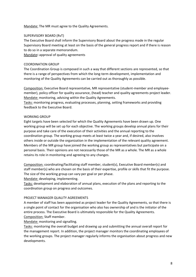Mandate: The MR must agree to the Quality Agreements.

#### SUPERVISORY BOARD (RvT)

The Executive Board shall inform the Supervisory Board about the progress made in the regular Supervisory Board meeting at least on the basis of the general progress report and if there is reason to do so in a separate memorandum.

Mandate**:** approval of quality agreements

#### COORDINATION GROUP

The Coordination Group is composed in such a way that different sections are represented, so that there is a range of perspectives from which the long-term development, implementation and monitoring of the Quality Agreements can be carried out as thoroughly as possible.

Composition: Executive Board representative, MR representative (student-member and employeemember), policy officer for quality assurance, (head) teacher and quality agreements project leader. Mandate: monitoring, advising within the Quality Agreements.

Tasks: monitoring progress, evaluating processes, planning, setting frameworks and providing feedback to the Executive Board.

#### WORKING GROUP

Eight targets have been selected for which the Quality Agreements have been drawn up. One working group will be set up for each objective. The working groups develop annual plans for their purpose and take care of the execution of their activities and the annual reporting to the coordination group. The working group meets at least twice a year and, if desired, also involves others inside or outside the organization in the implementation of the relevant quality agreement. Members of the MR group have joined the working group as representatives but participate on a personal basis. Their opinions are not necessarily those of the MR as a whole. The MR as a whole retains its role in monitoring and agreeing to any changes.

Composition: coordinating/facilitating staff member, student(s), Executive Board member(s) and staff member(s) who are chosen on the basis of their expertise, profile or skills that fit the purpose. The size of the working group can vary per goal or per phase.

Mandate: developing, implementing.

Tasks: development and elaboration of annual plans, execution of the plans and reporting to the coordination group on progress and outcomes.

#### PROJECT MANAGER QUALITY AGREEMENTS

A member of staff has been appointed as project leader for the Quality Agreements, so that there is a single point of contact for the organisation who also has ownership of and is the initiator of the entire process. The Executive Board is ultimately responsible for the Quality Agreements. Composition: Staff member.

Mandate: monitoring and signalling.

Tasks: monitoring the overall budget and drawing up and submitting the annual overall report for the management report. In addition, the project manager monitors the coordinating employees of the working groups. The project manager regularly informs the organisation about progress and new developments.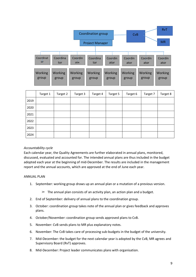|      |                  |                         |                         | Coordination group<br><b>Project Manager</b> |                  | <b>CvB</b>       |                         | <b>RvT</b><br><b>MR</b> |
|------|------------------|-------------------------|-------------------------|----------------------------------------------|------------------|------------------|-------------------------|-------------------------|
|      |                  |                         |                         |                                              |                  |                  |                         |                         |
|      | Coordinat<br>or  | Coordina<br>tor         | Coordin<br>ate.         | Coordina<br>tor                              | Coordin<br>ator  | Coordin<br>ator  | Coordin<br>ator         | Coordin<br>ator         |
|      | Working<br>group | <b>Working</b><br>group | <b>Working</b><br>group | <b>Working</b><br>group                      | Working<br>group | Working<br>group | <b>Working</b><br>group | <b>Working</b><br>group |
|      | Target 1         | Target 2                | Target 3                | Target 4                                     | Target 5         | Target 6         | Target 7                | Target 8                |
| 2019 |                  |                         |                         |                                              |                  |                  |                         |                         |
| 2020 |                  |                         |                         |                                              |                  |                  |                         |                         |
| 2021 |                  |                         |                         |                                              |                  |                  |                         |                         |
| 2022 |                  |                         |                         |                                              |                  |                  |                         |                         |
| 2023 |                  |                         |                         |                                              |                  |                  |                         |                         |

#### *Accountability cycle*

2024

Each calendar year, the Quality Agreements are further elaborated in annual plans, monitored, discussed, evaluated and accounted for. The intended annual plans are thus included in the budget adopted each year at the beginning of mid-December. The results are included in the management report and the annual accounts, which are approved at the end of June each year.

#### ANNUAL PLAN

- 1. September: working group draws up an annual plan or a mutation of a previous version.
	- $\triangleright$  The annual plan consists of an activity plan, an action plan and a budget.
- 2. End of September: delivery of annual plans to the coordination group.
- 3. October: coordination group takes note of the annual plan or gives feedback and approves plans.
- 4. October/November: coordination group sends approved plans to CvB.
- 5. November: CvB sends plans to MR plus explanatory notes.
- 6. November: The CvB takes care of processing sub-budgets in the budget of the university.
- 7. Mid-December: the budget for the next calendar year is adopted by the CvB, MR agrees and Supervisory Board (RvT) approves.
- 8. Mid-December: Project leader communicates plans with organisation.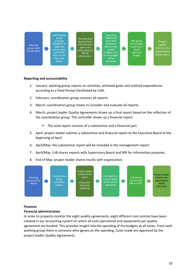#### coordination Executive Board and group The Executive provides Board checks controller MR agrees Project feedback or processes with budget. and discusses Working leader approves plans in the Supervisory groups draft plans and informs the D D annual plans partial Board sends plans to organization annual plans and sends budgets and approves MR for about plans. them to the in the budget budget. information. of the Executive Board. university.

#### **Reporting and accountability**

- 1. January: working group reports on activities, achieved goals and realised expenditures according to a fixed format (facilitated by CvB).
- 2. February: coordination group receives all reports.
- 3. March: coordination group meets to consider and evaluate all reports.
- 4. March: project leader Quality Agreements draws up a final report based on the reflection of the coordination group. The controller draws up a financial report.
	- $\geq$  The total report consists of a substantive and a financial part.
- 5. April: project leader submits a substantive and financial report to the Executive Board at the beginning of April.
- 6. April/May: the substantive report will be included in the management report.
- 7. April/May: CvB shares reports with Supervisory Board and MR for information purposes.
- 8. End of May: project leader shares results with organisation.



#### **Finances**

#### **Financial administration**

In order to properly monitor the eight quality agreements, eight different cost centres have been created in our accounting system on which all costs (personnel and equipment) per quality agreement are booked. This provides insight into the spending of the budgets at all times. From each working group there is someone who agrees on the spending. Costs made are approved by the project leader Quality Agreements.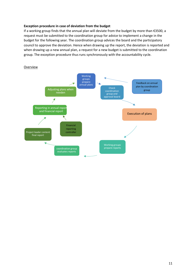#### **Exception procedure in case of deviation from the budget**

If a working group finds that the annual plan will deviate from the budget by more than €3500, a request must be submitted to the coordination group for advice to implement a change in the budget for the following year. The coordination group advices the board and the participatory council to approve the deviation. Hence when drawing up the report, the deviation is reported and when drawing up a new annual plan, a request for a new budget is submitted to the coordination group. The exception procedure thus runs synchronously with the accountability cycle.



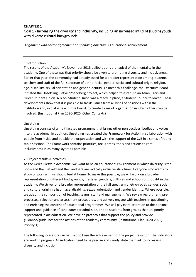# **CHAPTER 1** Goal 1 - Increasing the diversity and inclusivity, including an increased influx of (Dutch) youth with diverse cultural backgrounds

*Alignment with sector agreement on spending objective 3* Educational achievement

#### 1. Introduction

The results of the Academy's November 2018 deliberations are typical of the mentality in the academy. One of these was that priority should be given to promoting diversity and inclusiveness. Earlier that year, the community had already asked for a broader representation among students, teachers and staff of the full spectrum of ethno-racial, gender, social and cultural origin, religion, age, disability, sexual orientation and gender identity. To meet this challenge, the Executive Board initiated the Unsettling Rietveld/Sandberg project, which helped to establish an Asian, Latin and Queer Student Union. A Black Student Union was already in place, a Student Council followed. These developments show that it is possible to tackle issues from all kinds of positions within the institution and, in dialogue with the board, to create forms of organisation in which others can be involved. (Institutional Plan 2020-2025, Other Contexts)

#### Unsettling

Unsettling consists of a multifaceted programme that brings other perspectives, bodies and voices into the academy. In addition, Unsettling has created the Framework for Action in collaboration with people from inside and outside the organisation and with the support of the CvB in a series of round table sessions. The Framework contains priorities, focus areas, tools and actions to root inclusiveness in as many layers as possible.

#### 2. Project results & activities

As the Gerrit Rietveld Academie, we want to be an educational environment in which diversity is the norm and the Rietveld and the Sandberg are radically inclusive structures. Everyone who wants to study or work with us should feel at home. To make this possible, we will work on a broader representation of different backgrounds, lifestyles, genders, cultures and schools of thought in the academy. We strive for a broader representation of the full spectrum of etno-racial, gender, social and cultural origin, religion, age, disability, sexual orientation and gender identity. Where possible, we adapt the composition of teaching teams, staff and management. We review recruitment, preprocesses, selection and assessment procedures, and actively engage with teachers in questioning and enriching the content of educational programmes. We will pay extra attention to the personal support and guidance of candidates for admission, and to students from groups that are poorly represented in art education. We develop protocols that support the policy and provide guidance/guidelines for the actions of the academy community. (Institutional Plan 2020-2025, Priority 1)

The following indicators can be used to base the achievement of the project result on. The indicators are work in progress. All indicators need to be precise and clearly state their link to increasing diversity and inclusion.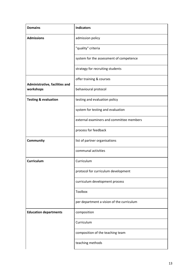| <b>Domains</b>                  | <b>Indicators</b>                         |
|---------------------------------|-------------------------------------------|
| <b>Admissions</b>               | admission policy                          |
|                                 | "quality" criteria                        |
|                                 | system for the assessment of competence   |
|                                 | strategy for recruiting students          |
| Administrative, facilities and  | offer training & courses                  |
| workshops                       | behavioural protocol                      |
| <b>Testing &amp; evaluation</b> | testing and evaluation policy             |
|                                 | system for testing and evaluation         |
|                                 | external examiners and committee members  |
|                                 | process for feedback                      |
| Community                       | list of partner organisations             |
|                                 | communal activities                       |
| <b>Curriculum</b>               | Curriculum                                |
|                                 | protocol for curriculum development       |
|                                 | curriculum development process            |
|                                 | Toolbox                                   |
|                                 | per department a vision of the curriculum |
| <b>Education departments</b>    | composition                               |
|                                 | Curriculum                                |
|                                 | composition of the teaching team          |
|                                 | teaching methods                          |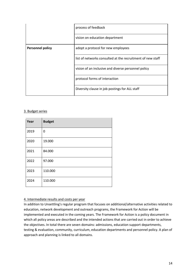|                         | process of feedback                                        |  |  |  |
|-------------------------|------------------------------------------------------------|--|--|--|
|                         | vision on education department                             |  |  |  |
| <b>Personnel policy</b> | adopt a protocol for new employees                         |  |  |  |
|                         | list of networks consulted at the recruitment of new staff |  |  |  |
|                         | vision of an inclusive and diverse personnel policy        |  |  |  |
|                         | protocol forms of interaction                              |  |  |  |
|                         | Diversity clause in job postings for ALL staff             |  |  |  |

#### 3. Budget series

| Year | <b>Budget</b> |
|------|---------------|
| 2019 | 0             |
| 2020 | 19.000        |
| 2021 | 84.000        |
| 2022 | 97.000        |
| 2023 | 110.000       |
| 2024 | 110.000       |

#### 4. Intermediate results and costs per year

In addition to Unsettling's regular program that focuses on additional/alternative activities related to education, network development and outreach programs, the Framework for Action will be implemented and executed in the coming years. The Framework for Action is a policy document in which all policy areas are described and the intended actions that are carried out in order to achieve the objectives. In total there are seven domains: admissions, education support departments, testing & evaluation, community, curriculum, education departments and personnel policy. A plan of approach and planning is linked to all domains.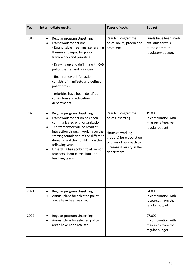| Year | <b>Intermediate results</b>                                                                                                                                                                                                                                                                                                                                                                        | <b>Types of costs</b>                                                                                                                                       | <b>Budget</b>                                                                        |
|------|----------------------------------------------------------------------------------------------------------------------------------------------------------------------------------------------------------------------------------------------------------------------------------------------------------------------------------------------------------------------------------------------------|-------------------------------------------------------------------------------------------------------------------------------------------------------------|--------------------------------------------------------------------------------------|
| 2019 | Regular program Unsettling<br>Framework for action:<br>- Round table meetings: generating<br>themes and input for policy<br>frameworks and priorities<br>- Drawing up and defining with CvB<br>policy themes and priorities<br>- final framework for action:<br>consists of manifesto and defined<br>policy areas<br>- priorities have been identified:<br>curriculum and education<br>departments | Regular programme<br>costs: hours, production<br>costs, etc.                                                                                                | Funds have been made<br>available for this<br>purpose from the<br>regulatory budget. |
| 2020 | Regular program Unsettling<br>Framework for action has been<br>communicated with organisation<br>The framework will be brought<br>٠<br>into action through working on the<br>starting foundation of the different<br>domains and then building on the<br>following year.<br>Unsettling has spoken to all senior<br>teachers about curriculum and<br>teaching teams                                 | Regular programme<br>costs Unsettling<br>Hours of working<br>group(s) for elaboration<br>of plans of approach to<br>increase diversity in the<br>department | 19.000<br>In combination with<br>resources from the<br>regular budget                |
| 2021 | Regular program Unsettling<br>Annual plans for selected policy<br>areas have been realised                                                                                                                                                                                                                                                                                                         |                                                                                                                                                             | 84.000<br>In combination with<br>resources from the<br>regular budget                |
| 2022 | Regular program Unsettling<br>Annual plans for selected policy<br>areas have been realised                                                                                                                                                                                                                                                                                                         |                                                                                                                                                             | 97.000<br>In combination with<br>resources from the<br>regular budget                |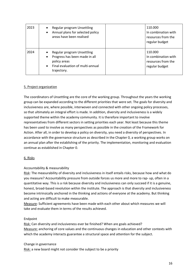| 2023 | Regular program Unsettling<br>Annual plans for selected policy<br>٠<br>areas have been realised                                     | 110.000<br>In combination with<br>resources from the<br>regular budget |
|------|-------------------------------------------------------------------------------------------------------------------------------------|------------------------------------------------------------------------|
| 2024 | Regular program Unsettling<br>Progress has been made in all<br>٠<br>policy areas<br>Final evaluation of multi-annual<br>trajectory. | 110.000<br>In combination with<br>resources from the<br>regular budget |

#### 5. Project organization

The coordinators of Unsettling are the core of the working group. Throughout the years the working group can be expanded according to the different priorities that were set. The goals for diversity and inclusiveness are, where possible, interwoven and connected with other ongoing policy processes, so that ultimately an integral effort is made. In addition, diversity and inclusiveness is a widely supported theme within the academy community. It is therefore important to involve representatives from different sectors in setting priorities each year. Not least because this theme has been used to involve as many perspectives as possible in the creation of the Framework for Action. After all, in order to develop a policy on diversity, you need a diversity of perspectives. In accordance with the governance structure as described in the Chapter 0, a working group works on an annual plan after the establishing of the priority. The implementation, monitoring and evaluation continue as established in Chapter 0.

#### 6. Risks

#### Accountability & measurability

Risk: The measurability of diversity and inclusiveness in itself entails risks, because how and what do you measure? Accountability pressure from outside forces us more and more to rap- up, often in a quantitative way. This is a risk because diversity and inclusiveness can only succeed if it is a genuine, honest, broad-based revolution within the institute. The approach is that diversity and inclusiveness become intrinsically anchored in the thinking and actions of everyone at the academy. But thinking and acting are difficult to make measurable.

Measure: Sufficient agreements have been made with each other about which measures we will take and evaluate them in terms of the results achieved.

#### Endpoint

Risk: Can diversity and inclusiveness ever be finished? When are goals achieved? Measure: anchoring of core values and the continuous changes in education and other contexts with which the academy interacts guarantee a structural space and attention for the subject.

Change in governance

Risk: a new board might not consider the subject to be a priority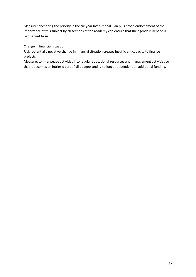Measure: anchoring the priority in the six-year Institutional Plan plus broad endorsement of the importance of this subject by all sections of the academy can ensure that the agenda is kept on a permanent basis.

Change in financial situation

Risk: potentially negative change in financial situation creates insufficient capacity to finance projects.

Measure: to interweave activities into regular educational resources and management activities so that it becomes an intrinsic part of all budgets and is no longer dependent on additional funding.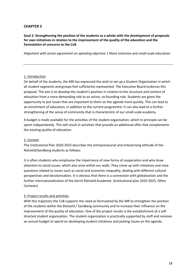# **CHAPTER 2**

#### **Goal 2: Strengthening the position of the students as a whole with the development of proposals for own initiatives in relation to the improvement of the quality of the education and the formulation of concerns to the CvB**

*Alignment with sector agreement on spending objective 1* More intensive and small-scale education

#### 1. Introduction

On behalf of the students, the MR has expressed the wish to set up a Student Organisation in which all student segments and groups feel sufficiently represented. The Executive Board endorses this proposal. The aim is to develop the student's position in relation to the structure and content of education from a more demanding role to an active, co-founding role. Students are given the opportunity to put issues that are important to them on the agenda more quickly. This can lead to an enrichment of education, in addition to the current programme. It can also lead to a further strengthening of the sense of community that is characteristic of our small-scale academy.

A budget is made available for the activities of the student organisation, which in principle can be spent independently. This will result in activities that provide an additional offer that complements the existing quality of education.

#### 2. Context

The Institutional Plan 2020-2025 describes the entrepreneurial and enterprising attitude of the Rietveld/Sandberg students as follows:

It is often students who emphasise the importance of new forms of cooperation and who draw attention to social issues, which also arise within our walls. They come up with initiatives and raise questions related to issues such as social and economic inequality, dealing with different cultural perspectives and decolonisation. It is obvious that there is a connection with globalization and the further internationalization of the Gerrit Rietveld Academie. (Institutional plan 2020-2025, Other Contexts)

#### 3. Project results and activities

With this trajectory the CvB supports the need as formulated by the MR to strengthen the position of the students within the Rietveld / Sandberg community and to increase their influence on the improvement of the quality of education. One of the project results is the establishment of a selfdirected student organization. The student organization is practically supported by staff and receives an annual budget to spend on developing student initiatives and putting issues on the agenda.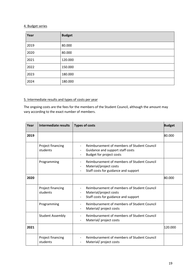#### 4. Budget series

| Year | <b>Budget</b> |
|------|---------------|
| 2019 | 80.000        |
| 2020 | 80.000        |
| 2021 | 120.000       |
| 2022 | 150.000       |
| 2023 | 180.000       |
| 2024 | 180.000       |

# 5. Intermediate results and types of costs per year

The ongoing costs are the fees for the members of the Student Council, although the amount may vary according to the exact number of members.

| Year | Intermediate results          | <b>Types of costs</b>                                                                                                                     | <b>Budget</b> |
|------|-------------------------------|-------------------------------------------------------------------------------------------------------------------------------------------|---------------|
| 2019 |                               |                                                                                                                                           | 80.000        |
|      | Project financing<br>students | Reimbursement of members of Student Council<br>$\overline{\phantom{a}}$<br>Guidance and support staff costs<br>Budget for project costs   |               |
|      | Programming                   | Reimbursement of members of Student Council<br>Material/project costs<br>Staff costs for guidance and support                             |               |
| 2020 |                               |                                                                                                                                           | 80.000        |
|      | Project financing<br>students | Reimbursement of members of Student Council<br>$\overline{\phantom{0}}$<br>Material/project costs<br>Staff costs for guidance and support |               |
|      | Programming                   | Reimbursement of members of Student Council<br>Material/ project costs                                                                    |               |
|      | <b>Student Assembly</b>       | Reimbursement of members of Student Council<br>Material/ project costs                                                                    |               |
| 2021 |                               |                                                                                                                                           | 120.000       |
|      | Project financing<br>students | Reimbursement of members of Student Council<br>$\overline{\phantom{0}}$<br>Material/ project costs                                        |               |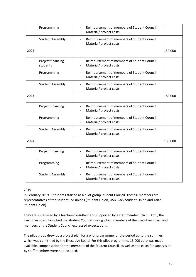|      | Programming                   | Reimbursement of members of Student Council<br>$\overline{a}$<br>Material/ project costs                                       |         |
|------|-------------------------------|--------------------------------------------------------------------------------------------------------------------------------|---------|
|      | <b>Student Assembly</b>       | Reimbursement of members of Student Council<br>Material/ project costs<br>$\overline{\phantom{a}}$                             |         |
| 2022 |                               |                                                                                                                                | 150.000 |
|      | Project financing<br>students | Reimbursement of members of Student Council<br>Material/ project costs                                                         |         |
|      | Programming                   | Reimbursement of members of Student Council<br>$\overline{\phantom{a}}$<br>Material/ project costs                             |         |
|      | <b>Student Assembly</b>       | Reimbursement of members of Student Council<br>$\blacksquare$<br>Material/ project costs                                       |         |
| 2023 |                               |                                                                                                                                | 180.000 |
|      | Project financing             | Reimbursement of members of Student Council<br>$\overline{\phantom{a}}$<br>Material/ project costs                             |         |
|      | Programming                   | Reimbursement of members of Student Council<br>$\overline{\phantom{a}}$<br>Material/ project costs                             |         |
|      | <b>Student Assembly</b>       | Reimbursement of members of Student Council<br>$\overline{\phantom{a}}$<br>Material/ project costs<br>$\overline{\phantom{0}}$ |         |
| 2024 |                               |                                                                                                                                | 180.000 |
|      | Project financing             | Reimbursement of members of Student Council<br>$\overline{\phantom{a}}$<br>Material/ project costs<br>$\overline{\phantom{a}}$ |         |
|      | Programming                   | Reimbursement of members of Student Council<br>Material/ project costs                                                         |         |
|      | <b>Student Assembly</b>       | Reimbursement of members of Student Council<br>Material/ project costs                                                         |         |

#### 2019

In February 2019, 6 students started as a pilot group Student Council. These 6 members are representatives of the student-led unions (Student Union, USB Black Student Union and Asian Student Union).

They are supervised by a teacher-consultant and supported by a staff member. On 18 April, the Executive Board launched the Student Council, during which members of the Executive Board and members of the Student Council expressed expectations.

The pilot group drew up a project plan for a pilot programme for the period up to the summer, which was confirmed by the Executive Board. For this pilot programme, 15,000 euro was made available, compensation for the members of the Student Council, as well as the costs for supervision by staff members were not included.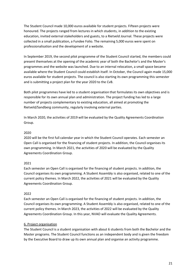The Student Council made 10,000 euros available for student projects. Fifteen projects were honoured. The projects ranged from lectures in which students, in addition to the existing education, invited external stakeholders and guests, to a Rietveld Journal. These projects were collected in a small publication, a Fundee Folio. The remaining 5,000 euros were spent on professionalisation and the development of a website.

In September 2019, the second pilot programme of the Student Council started, the members could present themselves at the opening of the academic year of both the Bachelor's and the Master's programmes and the website was launched. Due to an internal relocation, a small space became available where the Student Council could establish itself. In October, the Council again made 15,000 euros available for student projects. The council is also starting its own programming this semester and is submitting a project plan for the year 2020 to the CvB.

Both pilot programmes have led to a student organisation that formulates its own objectives and is responsible for its own annual plan and administration. The project funding has led to a large number of projects complementary to existing education, all aimed at promoting the Rietveld/Sandberg community, regularly involving external parties.

In March 2020, the activities of 2019 will be evaluated by the Quality Agreements Coordination Group.

#### 2020

2020 will be the first full calendar year in which the Student Council operates. Each semester an Open Call is organised for the financing of student projects. In addition, the Council organises its own programming. In March 2021, the activities of 2020 will be evaluated by the Quality Agreements Coordination Group.

#### 2021

Each semester an Open Call is organised for the financing of student projects. In addition, the Council organises its own programming. A Student Assembly is also organised, related to one of the current policy themes. In March 2022, the activities of 2021 will be evaluated by the Quality Agreements Coordination Group.

#### 2022

Each semester an Open Call is organised for the financing of student projects. In addition, the Council organises its own programming. A Student Assembly is also organised, related to one of the current policy themes. In March 2023, the activities of 2022 will be evaluated by the Quality Agreements Coordination Group. In this year, NVAO will evaluate the Quality Agreements.

#### 6. Project organisation

The Student Council is a student organisation with about 6 students from both the Bachelor and the Master programs. The Student Council functions as an independent body and is given the freedom by the Executive Board to draw up its own annual plan and organise an activity programme.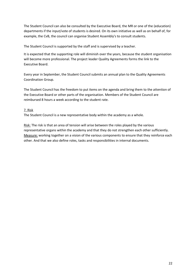The Student Council can also be consulted by the Executive Board, the MR or one of the (education) departments if the input/vote of students is desired. On its own initiative as well as on behalf of, for example, the CvB, the council can organise Student Assembly's to consult students.

The Student Council is supported by the staff and is supervised by a teacher.

It is expected that the supporting role will diminish over the years, because the student organisation will become more professional. The project leader Quality Agreements forms the link to the Executive Board.

Every year in September, the Student Council submits an annual plan to the Quality Agreements Coordination Group.

The Student Council has the freedom to put items on the agenda and bring them to the attention of the Executive Board or other parts of the organisation. Members of the Student Council are reimbursed 8 hours a week according to the student rate.

#### 7. Risk

The Student Council is a new representative body within the academy as a whole.

Risk: The risk is that an area of tension will arise between the roles played by the various representative organs within the academy and that they do not strengthen each other sufficiently. Measure: working together on a vision of the various components to ensure that they reinforce each other. And that we also define roles, tasks and responsibilities in internal documents.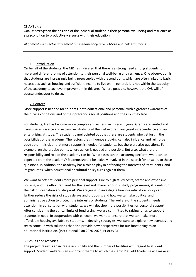# CHAPTER 3

# Goal 3: Strengthen the position of the individual student in their personal well-being and resilience as a precondition to productively engage with their education

*Alignment with sector agreement on spending objective 2* More and better tutoring

#### 1. Introduction

On behalf of the students, the MR has indicated that there is a strong need among students for more and different forms of attention to their personal well-being and resilience. One observation is that students are increasingly being preoccupied with preconditions, which are often linked to basic necessities such as housing and sufficient income to live on. In general, it is not within the capacity of the academy to achieve improvement in this area. Where possible, however, the CvB will of course endeavour to do so.

#### 2. Context

More support is needed for students, both educational and personal, with a greater awareness of their living conditions and of their precarious social positions and the risks they face.

For students, life has become more complex and expensive in recent years. Grants are limited and living space is scarce and expensive. Studying at the Rietveld requires great independence and an enterprising attitude. The student panel pointed out that there are students who get lost in the possibilities of the academy. The factors that influence studying can also influence and reinforce each other. It is clear that more support is needed for students, but there are also questions. For example, on the precise points where action is needed and possible. But also, what are the responsibility and role of the academy can be. What tasks can the academy perform, what can be expected from the academy? Students should be actively involved in the search for answers to these questions. In addition, the academy has a role to play in defending the interests of its students, and its graduates, when educational or cultural policy turns against them.

We want to offer students more personal support. Due to high study costs, scarce and expensive housing, and the effort required for the level and character of our study programmes, students run the risk of stagnation and drop-out. We are going to investigate how our education policy can further reduce the risks of study delays and dropouts, and how we can take political and administrative action to protect the interests of students. The welfare of the students' needs attention. In consultation with students, we will develop more possibilities for personal support. After considering the ethical limits of fundraising, we are committed to raising funds to support students in need. In cooperation with partners, we want to ensure that we can make more affordable housing available to students. In devising strategies, we want to explore new avenues and try to come up with solutions that also provide new perspectives for our functioning as an educational institution. (Institutional Plan 2020-2025, Priority 3)

#### 3. Results and activities

The project result is an increase in visibility and the number of facilities with regard to student support. Student welfare is an important theme to which the Gerrit Rietveld Academie will make an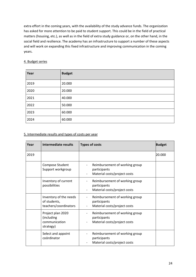extra effort in the coming years, with the availability of the study advance funds. The organization has asked for more attention to be paid to student support. This could be in the field of practical matters (housing, etc.), as well as in the field of extra study guidance or, on the other hand, in the social field and resilience. The academy has an infrastructure to support a number of these aspects and will work on expanding this fixed infrastructure and improving communication in the coming years.

#### 4. Budget series

| Year | <b>Budget</b> |
|------|---------------|
| 2019 | 20.000        |
| 2020 | 20.000        |
| 2021 | 40.000        |
| 2022 | 50.000        |
| 2023 | 60.000        |
| 2024 | 60.000        |

#### 5. Intermediate results and types of costs per year

| Year | Intermediate results                                            | <b>Types of costs</b>                                                                                                                  | <b>Budget</b> |
|------|-----------------------------------------------------------------|----------------------------------------------------------------------------------------------------------------------------------------|---------------|
| 2019 |                                                                 |                                                                                                                                        | 20.000        |
|      | Compose Student<br>Support workgroup                            | Reimbursement of working group<br>participants<br>Material costs/project costs                                                         |               |
|      | Inventory of current<br>possibilities                           | Reimbursement of working group<br>$\overline{\phantom{0}}$<br>participants<br>Material costs/project costs                             |               |
|      | Inventory of the needs<br>of students,<br>teachers/coordinators | Reimbursement of working group<br>$\overline{\phantom{0}}$<br>participants<br>Material costs/project costs<br>$\overline{\phantom{a}}$ |               |
|      | Project plan 2020<br>(including<br>communication<br>strategy)   | Reimbursement of working group<br>participants<br>Material costs/project costs                                                         |               |
|      | Select and appoint<br>coördinator                               | Reimbursement of working group<br>participants<br>Material costs/project costs                                                         |               |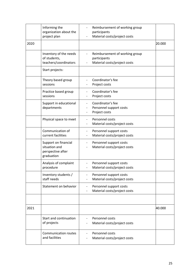|      | Informing the<br>organization about the<br>project plan                  | Reimbursement of working group<br>participants<br>Material costs/project costs      |        |
|------|--------------------------------------------------------------------------|-------------------------------------------------------------------------------------|--------|
| 2020 |                                                                          |                                                                                     | 20.000 |
|      | Inventory of the needs<br>of students,<br>teachers/coordinators          | Reimbursement of working group<br>participants<br>Material costs/project costs      |        |
|      | Start projects:                                                          |                                                                                     |        |
|      | Theory based group<br>sessions                                           | Coordinator's fee<br>Project costs                                                  |        |
|      | Practice based group<br>sessions                                         | Coordinator's fee<br>Project costs                                                  |        |
|      | Support in educational<br>departments                                    | Coordinator's fee<br>Personnel support costs<br>Project costs                       |        |
|      | Physical space to meet                                                   | Personnel costs<br>$\overline{\phantom{0}}$<br>Material costs/project costs         |        |
|      | Communication of<br>current facilities                                   | Personnel support costs<br>$\overline{\phantom{a}}$<br>Material costs/project costs |        |
|      | Support on financial<br>situation and<br>perspective after<br>graduation | Personnel support costs<br>Material costs/project costs                             |        |
|      | Analysis of complaint<br>procedure                                       | Personnel support costs<br>Material costs/project costs                             |        |
|      | Inventory students /<br>staff needs                                      | Personnel support costs<br>Material costs/project costs                             |        |
|      | Statement on behavior                                                    | Personnel support costs<br>$\overline{\phantom{a}}$<br>Material costs/project costs |        |
|      |                                                                          |                                                                                     |        |
| 2021 |                                                                          |                                                                                     | 40.000 |
|      | Start and continuation<br>of projects                                    | Personnel costs<br>Material costs/project costs                                     |        |
|      | <b>Communication routes</b><br>and facilities                            | Personnel costs<br>Material costs/project costs                                     |        |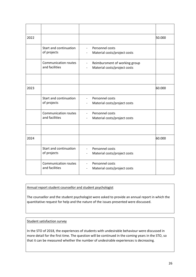| 2022 |                                        |                                                                                                         | 50.000 |
|------|----------------------------------------|---------------------------------------------------------------------------------------------------------|--------|
|      | Start and continuation<br>of projects  | Personnel costs<br>$\overline{\phantom{a}}$<br>Material costs/project costs<br>$\overline{\phantom{a}}$ |        |
|      | Communication routes<br>and facilities | Reimbursment of working group<br>$\overline{\phantom{a}}$<br>Material costs/project costs               |        |
|      |                                        |                                                                                                         |        |
| 2023 |                                        |                                                                                                         | 60.000 |
|      | Start and continuation<br>of projects  | Personnel costs<br>$\blacksquare$<br>Material costs/project costs<br>$\overline{\phantom{a}}$           |        |
|      | Communication routes<br>and facilities | Personnel costs<br>$\overline{\phantom{a}}$<br>Material costs/project costs                             |        |
|      |                                        |                                                                                                         |        |
| 2024 |                                        |                                                                                                         | 60.000 |
|      | Start and continuation<br>of projects  | Personnel costs<br>$\blacksquare$<br>Material costs/project costs<br>$\overline{\phantom{a}}$           |        |
|      | Communication routes<br>and facilities | Personnel costs<br>$\overline{\phantom{a}}$<br>Material costs/project costs<br>$\overline{\phantom{a}}$ |        |

Annual report student counsellor and student psychologist

The counsellor and the student psychologist were asked to provide an annual report in which the quantitative request for help and the nature of the issues presented were discussed.

Student satisfaction survey

In the STO of 2018, the experiences of students with undesirable behaviour were discussed in more detail for the first time. The question will be continued in the coming years in the STO, so that it can be measured whether the number of undesirable experiences is decreasing.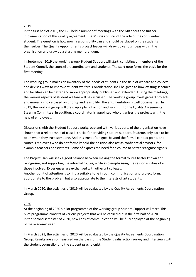# 2019

In the first half of 2019, the CvB held a number of meetings with the MR about the further implementation of this quality agreement. The MR was critical of the role of the confidential student. The question is how much responsibility can and should be placed on the students themselves. The Quality Appointments project leader will draw up various ideas within the organisation and draw up a starting memorandum.

In September 2019 the working group Student Support will start, consisting of members of the Student Council, the counsellor, coordinators and students. The start note forms the basis for the first meeting.

The working group makes an inventory of the needs of students in the field of welfare and collects and devises ways to improve student welfare. Consideration shall be given to how existing schemes and facilities can be better and more appropriately publicised and extended. During the meetings, the various aspects of student welfare will be discussed. The working group investigates 9 projects and makes a choice based on priority and feasibility. The argumentation is well documented. In 2019, the working group will draw up a plan of action and submit it to the Quality Agreements Steering Committee. In addition, a coordinator is appointed who organises the projects with the help of employees.

Discussions with the Student Support workgroup and with various parts of the organisation have shown that a relationship of trust is crucial for providing student support. Students only dare to be open when they trust someone. And this trust often goes beyond the formal contact points and routes. Employees who do not formally hold the position also act as confidential advisors, for example teachers or assistants. Some of express the need for a course to better recognise signals.

The Project Plan will seek a good balance between making the formal routes better known and recognising and supporting the informal routes, while also emphasising the responsibilities of all those involved. Experiences are exchanged with other art colleges.

Another point of attention is to find a suitable tone in both communication and project form, appropriate to the problem but also appropriate to the interests of art students.

In March 2020, the activities of 2019 will be evaluated by the Quality Agreements Coordination Group.

#### 2020

At the beginning of 2020 a pilot programme of the working group Student Support will start. This pilot programme consists of various projects that will be carried out in the first half of 2020. In the second semester of 2020, new lines of communication will be fully deployed at the beginning of the academic year.

In March 2021, the activities of 2020 will be evaluated by the Quality Agreements Coordination Group. Results are also measured on the basis of the Student Satisfaction Survey and interviews with the student counsellor and the student psychologist.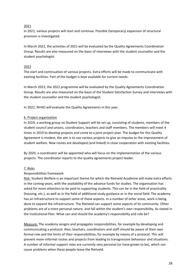# 2021

In 2021, various projects will start and continue. Possible (temporary) expansion of structural provision is investigated.

In March 2022, the activities of 2021 will be evaluated by the Quality Agreements Coordination Group. Results are also measured on the basis of interviews with the student counsellor and the student psychologist.

# 2022

The start and continuation of various projects. Extra efforts will be made to communicate with existing facilities. Part of the budget is kept available for current needs.

In March 2023, the 2022 programme will be evaluated by the Quality Agreements Coordination Group. Results are also measured on the basis of the Student Satisfaction Survey and interviews with the student counsellor and the student psychologist.

In 2022, NVAO will evaluate the Quality Agreements in this year.

# 6. Project organization

In 2019, a working group on Student Support will be set up, consisting of students, members of the student council and unions, coordinators, teachers and staff members. The members will meet 4 times in 2019 to develop projects and come to a joint project plan. The budget for this Quality Agreement is modest, the aim is to use various projects to give an impulse to the improvement of student welfare. New routes are developed (and linked) in close cooperation with existing facilities.

By 2020, a coordinator will be appointed who will focus on the implementation of the various projects. The coordinator reports to the quality agreements project leader.

#### 7. Risks

#### Responsibilities framework

Risk: Student Welfare is an important theme for which the Rietveld Academie will make extra efforts in the coming years, with the availability of the advance funds for studies. The organisation has asked for more attention to be paid to supporting students. This can be in the field of practicality (housing, etc.), as well as in the field of additional study guidance or in the social field. The academy has an infrastructure to support some of these aspects. In a number of other areas, work is being done to expand the infrastructure. The Rietveld can support some aspects of its community. Other problems are of a more personal nature, and fall within the student's own responsibility. As stated in the Institutional Plan: What can and should the academy's responsibility and role be?

Measure: The academy assigns and propagates responsibilities, for example by developing and communicating a protocol. Also; teachers, coordinators and staff should be aware of their own formal role and the limits of their responsibilities, for example by means of a protocol. This will prevent more informal routes and projects from leading to transgressive behaviour and situations. A number of informal support roles are currently very personal (or have grown to be), which can cause problems when these people leave the Rietveld.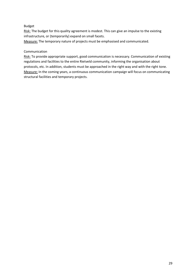#### Budget

Risk: The budget for this quality agreement is modest. This can give an impulse to the existing infrastructure, or (temporarily) expand on small facets.

Measure: The temporary nature of projects must be emphasised and communicated.

#### Communication

Risk: To provide appropriate support, good communication is necessary. Communication of existing regulations and facilities to the entire Rietveld community, informing the organisation about protocols, etc. In addition, students must be approached in the right way and with the right tone. Measure: In the coming years, a continuous communication campaign will focus on communicating structural facilities and temporary projects.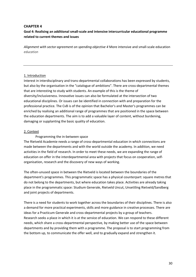#### **CHAPTER 4**

# **Goal 4: Realising an additional small-scale and intensive intercurricular educational programme related to current themes and issues**

*Alignment with sector agreement on spending objective 4* More intensive and small-scale education *education*

#### 1. Introduction

Interest in interdisciplinary and trans-departmental collaborations has been expressed by students, but also by the organisation in the "catalogue of ambitions". There are cross-departmental themes that are interesting to study with students. An example of this is the theme of diversity/inclusiveness. Innovative issues can also be formulated at the intersection of two educational disciplines. Or issues can be identified in connection with and preparation for the professional practice. The CvB is of the opinion that Bachelor's and Master's programmes can be enriched by realising an additional range of programmes that are positioned in the space between the education departments. The aim is to add a valuable layer of content, without burdening, damaging or supplanting the basic quality of education.

#### 2. Context

#### Programming the in-between space

The Rietveld Academie needs a range of cross-departmental education in which connections are made between the departments and with the world outside the academy. In addition, we need activities in the field of research. In order to meet these needs, we are expanding the range of education on offer in the interdepartmental area with projects that focus on cooperation, selforganisation, research and the discovery of new ways of working.

The often-unused space in between the Rietveld is located between the boundaries of the department's programmes. This programmatic space has a physical counterpart: square metres that do not belong to the departments, but where education takes place. Activities are already taking place in the programmatic space: Studium Generale, Rietveld Uncut, Unsettling Rietveld/Sandberg and joint projects of departments.

There is a need for students to work together across the boundaries of their disciplines. There is also a demand for more practical experiments, skills and more guidance in creative processes. There are ideas for a Practicum Generale and cross-departmental projects by a group of teachers. Research seeks a place in which it is at the service of education. We can respond to these different needs, which share a cross-departmental perspective, by making better use of the space between departments and by providing them with a programme. The proposal is to start programming from the bottom up, to communicate the offer well, and to gradually expand and strengthen it.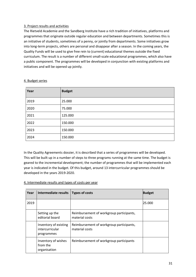# 3. Project results and activities

The Rietveld Academie and the Sandberg Institute have a rich tradition of initiatives, platforms and programmes that originate outside regular education and between departments. Sometimes this is an initiative of students, sometimes of a penny, or jointly from departments. Some initiatives grow into long-term projects, others are personal and disappear after a season. In the coming years, the Quality Funds will be used to give free rein to (current) educational themes outside the fixed curriculum. The result is a number of different small-scale educational programmes, which also have a public component. The programmes will be developed in conjunction with existing platforms and initiatives and will be opened up jointly.

| Year | <b>Budget</b> |
|------|---------------|
| 2019 | 25.000        |
| 2020 | 75.000        |
| 2021 | 125.000       |
| 2022 | 150.000       |
| 2023 | 150.000       |
| 2024 | 150.000       |

#### 4. Budget series

In the Quality Agreements dossier, it is described that a series of programmes will be developed. This will be built up in a number of steps to three programs running at the same time. The budget is geared to the incremental development; the number of programmes that will be implemented each year is indicated in the budget. Of this budget, around 13 intercurricular programmes should be developed in the years 2019-2020.

#### 4. Intermediate results and types of costs per year

| Year | Intermediate results                                   | <b>Types of costs</b>                                      | <b>Budget</b> |
|------|--------------------------------------------------------|------------------------------------------------------------|---------------|
| 2019 |                                                        |                                                            | 25.000        |
|      | Setting up the<br>editorial board                      | Reimbursement of workgroup participants,<br>material costs |               |
|      | Inventory of existing<br>intercurricular<br>programmes | Reimbursement of workgroup participants,<br>material costs |               |
|      | Inventory of wishes<br>from the<br>organisation        | Reimbursement of workgroup participants                    |               |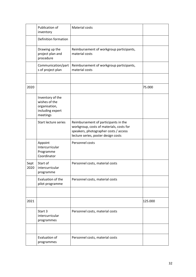|              | Publication of<br>inventory                                                        | Material costs                                                                                                                                                   |         |
|--------------|------------------------------------------------------------------------------------|------------------------------------------------------------------------------------------------------------------------------------------------------------------|---------|
|              | Definition formation                                                               |                                                                                                                                                                  |         |
|              | Drawing up the<br>project plan and<br>procedure                                    | Reimbursement of workgroup participants,<br>material costs                                                                                                       |         |
|              | Communication/part<br>s of project plan                                            | Reimbursement of workgroup participants,<br>material costs                                                                                                       |         |
|              |                                                                                    |                                                                                                                                                                  |         |
| 2020         |                                                                                    |                                                                                                                                                                  | 75.000  |
|              | Inventory of the<br>wishes of the<br>organisation,<br>including expert<br>meetings |                                                                                                                                                                  |         |
|              | Start lecture series                                                               | Reimbursement of participants in the<br>workgroup, costs of materials, costs for<br>speakers, photographer costs / access<br>lecture series, poster design costs |         |
|              | Appoint<br>Intercurricular<br>Programme<br>Coordinator                             | Personnel costs                                                                                                                                                  |         |
| Sept<br>2020 | Start of<br>intercurricular<br>programme                                           | Personnel costs, material costs                                                                                                                                  |         |
|              | Evaluation of the<br>pilot programme                                               | Personnel costs, material costs                                                                                                                                  |         |
|              |                                                                                    |                                                                                                                                                                  |         |
| 2021         |                                                                                    |                                                                                                                                                                  | 125.000 |
|              | Start 3<br>intercurricular<br>programmes                                           | Personnel costs, material costs                                                                                                                                  |         |
|              |                                                                                    |                                                                                                                                                                  |         |
|              | Evaluation of<br>programmes                                                        | Personnel costs, material costs                                                                                                                                  |         |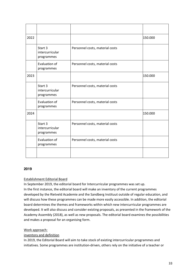| 2022 |                                          |                                 | 150.000 |
|------|------------------------------------------|---------------------------------|---------|
|      | Start 3<br>intercurricular<br>programmes | Personnel costs, material costs |         |
|      | Evaluation of<br>programmes              | Personnel costs, material costs |         |
| 2023 |                                          |                                 | 150.000 |
|      | Start 3<br>intercurricular<br>programmes | Personnel costs, material costs |         |
|      | Evaluation of<br>programmes              | Personnel costs, material costs |         |
| 2024 |                                          |                                 | 150.000 |
|      | Start 3<br>intercurricular<br>programmes | Personnel costs, material costs |         |
|      | Evaluation of<br>programmes              | Personnel costs, material costs |         |
|      |                                          |                                 |         |

#### **2019**

#### Establishment Editorial Board

In September 2019, the editorial board for Intercurricular programmes was set up. In the first instance, the editorial board will make an inventory of the current programmes developed by the Rietveld Academie and the Sandberg Instituut outside of regular education, and will discuss how these programmes can be made more easily accessible. In addition, the editorial board determines the themes and frameworks within which new intercurricular programmes are developed. It will also discuss and consider existing proposals, as presented in the framework of the Academy Assembly (2018), as well as new proposals. The editorial board examines the possibilities and makes a proposal for an organising form.

#### Work approach:

#### inventory and definition

In 2019, the Editorial Board will aim to take stock of existing intercurricular programmes and initiatives. Some programmes are institution-driven, others rely on the initiative of a teacher or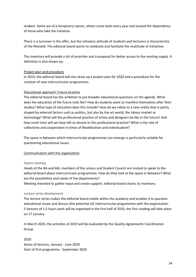student. Some are of a temporary nature, others come back every year and exceed the dependency of those who take the initiative.

There is a turnover in the offer, but the initiatory attitude of students and lecturers is characteristic of the Rietveld. The editorial board wants to celebrate and facilitate the multitude of initiatives.

The inventory will provide a list of priorities and a proposal for better access to the existing supply. A definition is also drawn up.

#### Project plan and procedure

In 2019, the editorial board will also draw up a project plan for 2020 and a procedure for the creation of new intercurricular programmes.

#### Educational approach: Future practice

The editorial board has the ambition to put broader educational questions on the agenda. What does the education of the future look like? How do students want to manifest themselves after their studies? What type of education does this include? How do we relate to a new reality that is partly shaped by external factors such as politics, but also by the art world, the labour market or technology? What will the professional practice of artists and designers be like in the future? And how much time will we have left to devote to this professional practice? What is the role of collectivity and cooperation in times of flexibilisation and individualism?

The space in between which intercurricular programmes can emerge is particularly suitable for questioning educational issues.

#### Communication with the organisation

#### *Expert meeting*

Heads of the BA and MA, members of the unions and Student Council are invited to speak to the editorial board about intercurricular programmes. How do they look at the space in between? What are the possibilities and needs of the departments?

Meeting intended to gather input and create support, editorial board shares its inventory.

#### *Lecture series development*

The lecture series makes the editorial board visible within the academy and enables it to question educational issues and discuss (the potential of) intercurricular programmes with the organisation. 5 lectures of 1.5 hours each will be organised in the first half of 2020, the first reading will take place on 17 January.

In March 2020, the activities of 2019 will be evaluated by the Quality Agreements Coordination Group.

2020 Series of lectures, January - June 2020 Start of first programme - September 2020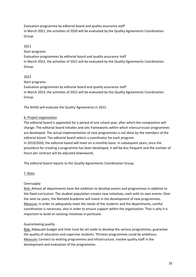Evaluation programme by editorial board and quality assurance staff In March 2021, the activities of 2020 will be evaluated by the Quality Agreements Coordination Group.

# 2021

Start programs Evaluation programmes by editorial board and quality assurance staff In March 2022, the activities of 2021 will be evaluated by the Quality Agreements Coordination Group.

# 2022

Start programs

Evaluation programmes by editorial board and quality assurance staff In March 2023, the activities of 2022 will be evaluated by the Quality Agreements Coordination Group.

The NVAO will evaluate the Quality Agreements in 2022.

# 6. Project organisation

The editorial board is appointed for a period of one school year, after which the composition will change. The editorial board initiates and sets frameworks within which intercurricular programmes are developed. The actual implementation of new programmes is not done by the members of the editorial board. The editorial board selects a coordinator for each program. In 2019/2020, the editorial board will meet on a monthly basis. In subsequent years, once the procedure for creating a programme has been developed, it will be less frequent and the number of

hours per contract will be adjusted downwards.

The editorial board reports to the Quality Agreements Coordination Group.

#### 7. Risks

#### **Oversupply**

Risk: Almost all departments have the ambition to develop events and programmes in addition to the fixed curriculum. The student population creates new initiatives, each with its own events. Over the next six years, the Rietveld Academie will invest in the development of new programmes. Measure: In order to adequately meet the needs of the students and the departments, careful coordination is necessary, also in order to ensure support within the organisation. That is why it is important to build on existing initiatives in particular.

# Guaranteeing quality

Risk: Adequate budget and time must be set aside to develop the various programmes, guarantee the quality of education and supervise students. Thirteen programmes could be ambitious. Measure: Connect to existing programmes and infrastructure, involve quality staff in the development and evaluation of the programmes.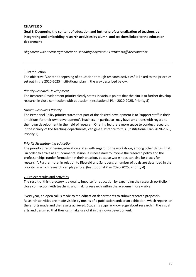# **CHAPTER 5**

**Goal 5: Deepening the content of education and further professionalisation of teachers by integrating and embedding research activities by alumni and teachers linked to the education department**

*Alignment with sector agreement on spending objective 6 Further staff development*

#### 1. Introduction

The objective "Content deepening of education through research activities" is linked to the priorities set out in the 2020-2025 institutional plan in the way described below.

#### *Priority Research Development*

The Research Development priority clearly states in various points that the aim is to further develop research in close connection with education. (Institutional Plan 2020-2025, Priority 5)

#### *Human Resources Priority*

The Personnel Policy priority states that part of the desired development is to 'support staff in their ambitions for their own development'. Teachers, in particular, may have ambitions with regard to their own development in the field of research. Offering lecturers more space to conduct research, in the vicinity of the teaching departments, can give substance to this. (Institutional Plan 2020-2025, Priority 2)

#### *Priority Strengthening education*

The priority Strengthening education states with regard to the workshops, among other things, that "in order to arrive at a fundamental vision, it is necessary to involve the research policy and the professorships (under formation) in their creation, because workshops can also be places for research". Furthermore, in relation to Rietveld and Sandberg, a number of goals are described in the priority, in which research can play a role. (Institutional Plan 2020-2025, Priority 4)

#### 2. Project results and activities

The result of this trajectory is a quality impulse for education by expanding the research portfolio in close connection with teaching, and making research within the academy more visible.

Every year, an open call is made to the education departments to submit research proposals. Research activities are made visible by means of a publication and/or an exhibition, which reports on the efforts made and the results achieved. Students acquire knowledge about research in the visual arts and design so that they can make use of it in their own development.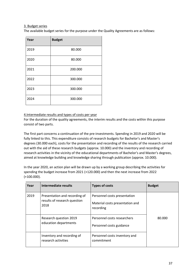# 3. Budget series

The available budget series for the purpose under the Quality Agreements are as follows:

| Year | <b>Budget</b> |
|------|---------------|
| 2019 | 80.000        |
| 2020 | 80.000        |
| 2021 | 200.000       |
| 2022 | 300.000       |
| 2023 | 300.000       |
| 2024 | 300.000       |

# 4.Intermediate results and types of costs per year

For the duration of the quality agreements, the interim results and the costs within this purpose consist of two parts.

The first part concerns a continuation of the pre-investments. Spending in 2019 and 2020 will be fully linked to this. This expenditure consists of research budgets for Bachelor's and Master's degrees (30.000 each), costs for the presentation and recording of the results of the research carried out with the aid of these research budgets (approx. 10.000) and the inventory and recording of research activities in the vicinity of the educational departments of Bachelor's and Master's degrees, aimed at knowledge building and knowledge sharing through publication (approx. 10.000).

In the year 2020, an action plan will be drawn up by a working group describing the activities for spending the budget increase from 2021 (+120.000) and then the next increase from 2022 (+100.000).

| Year | Intermediate results                                                  | <b>Types of costs</b>                                                        | <b>Budget</b> |
|------|-----------------------------------------------------------------------|------------------------------------------------------------------------------|---------------|
| 2019 | Presentation and recording of<br>results of research question<br>2018 | Personnel costs presentation<br>Material costs presentation and<br>recording |               |
|      | Research question 2019<br>education departments                       | Personnel costs researchers<br>Personnel costs guidance                      | 80.000        |
|      | Inventory and recording of<br>research activities                     | Personnel costs inventory and<br>commitment                                  |               |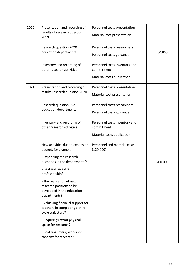| 2020 | Presentation and recording of<br>results of research question<br>2019                              | Personnel costs presentation<br>Material cost presentation                |         |
|------|----------------------------------------------------------------------------------------------------|---------------------------------------------------------------------------|---------|
|      | Research question 2020<br>education departments                                                    | Personnel costs researchers<br>Personnel costs guidance                   | 80.000  |
|      | Inventory and recording of<br>other research activities                                            | Personnel costs inventory and<br>commitment<br>Material costs publication |         |
| 2021 | Presentation and recording of<br>results research question 2020                                    | Personnel costs presentation<br>Material cost presentation                |         |
|      | Research question 2021<br>education departments                                                    | Personnel costs researchers<br>Personnel costs guidance                   |         |
|      | Inventory and recording of<br>other research activities                                            | Personnel costs inventory and<br>commitment<br>Material costs publication |         |
|      | New activities due to expansion<br>budget, for example:                                            | Personnel and material costs<br>(120.000)                                 |         |
|      | - Expanding the research<br>questions in the departments?                                          |                                                                           | 200.000 |
|      | - Realizing an extra<br>professorship?                                                             |                                                                           |         |
|      | - The realisation of new<br>research positions to be<br>developed in the education<br>departments? |                                                                           |         |
|      | - Achieving financial support for<br>teachers in completing a third<br>cycle trajectory?           |                                                                           |         |
|      | - Acquiring (extra) physical<br>space for research?                                                |                                                                           |         |
|      | - Realizing (extra) workshop<br>capacity for research?                                             |                                                                           |         |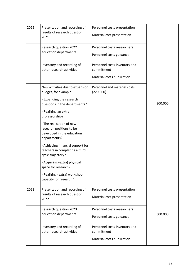| 2022 | Presentation and recording of<br>results of research question<br>2021                                                                                                                                                                                                                                                                                                                                                                                                             | Personnel costs presentation<br>Material cost presentation                |         |
|------|-----------------------------------------------------------------------------------------------------------------------------------------------------------------------------------------------------------------------------------------------------------------------------------------------------------------------------------------------------------------------------------------------------------------------------------------------------------------------------------|---------------------------------------------------------------------------|---------|
|      | Research question 2022<br>education departments                                                                                                                                                                                                                                                                                                                                                                                                                                   | Personnel costs researchers<br>Personnel costs guidance                   |         |
|      | Inventory and recording of<br>other research activities                                                                                                                                                                                                                                                                                                                                                                                                                           | Personnel costs inventory and<br>commitment<br>Material costs publication |         |
|      | New activities due to expansion<br>budget, for example:<br>- Expanding the research<br>questions in the departments?<br>- Realizing an extra<br>professorship?<br>- The realisation of new<br>research positions to be<br>developed in the education<br>departments?<br>- Achieving financial support for<br>teachers in completing a third<br>cycle trajectory?<br>- Acquiring (extra) physical<br>space for research?<br>- Realizing (extra) workshop<br>capacity for research? | Personnel and material costs<br>(220.000)                                 | 300.000 |
| 2023 | Presentation and recording of<br>results of research question<br>2022                                                                                                                                                                                                                                                                                                                                                                                                             | Personnel costs presentation<br>Material cost presentation                |         |
|      | Research question 2023<br>education departments                                                                                                                                                                                                                                                                                                                                                                                                                                   | Personnel costs researchers<br>Personnel costs guidance                   | 300.000 |
|      | Inventory and recording of<br>other research activities                                                                                                                                                                                                                                                                                                                                                                                                                           | Personnel costs inventory and<br>commitment<br>Material costs publication |         |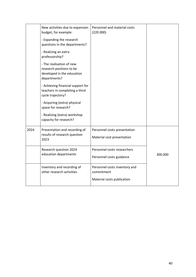|      | New activities due to expansion                                                                    | Personnel and material costs                |         |
|------|----------------------------------------------------------------------------------------------------|---------------------------------------------|---------|
|      | budget, for example:                                                                               | (220.000)                                   |         |
|      | - Expanding the research<br>questions in the departments?                                          |                                             |         |
|      | - Realizing an extra<br>professorship?                                                             |                                             |         |
|      | - The realisation of new<br>research positions to be<br>developed in the education<br>departments? |                                             |         |
|      | - Achieving financial support for<br>teachers in completing a third<br>cycle trajectory?           |                                             |         |
|      | - Acquiring (extra) physical<br>space for research?                                                |                                             |         |
|      | - Realizing (extra) workshop<br>capacity for research?                                             |                                             |         |
| 2024 | Presentation and recording of                                                                      | Personnel costs presentation                |         |
|      | results of research question<br>2023                                                               | Material cost presentation                  |         |
|      | Research question 2024                                                                             | Personnel costs researchers                 |         |
|      | education departments                                                                              | Personnel costs guidance                    | 300.000 |
|      | Inventory and recording of<br>other research activities                                            | Personnel costs inventory and<br>commitment |         |
|      |                                                                                                    | Material costs publication                  |         |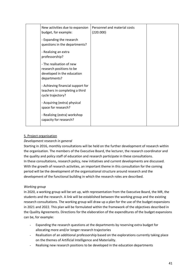| New activities due to expansion<br>budget, for example:                                            | Personnel and material costs<br>(220.000) |  |
|----------------------------------------------------------------------------------------------------|-------------------------------------------|--|
| - Expanding the research<br>questions in the departments?                                          |                                           |  |
| - Realizing an extra<br>professorship?                                                             |                                           |  |
| - The realisation of new<br>research positions to be<br>developed in the education<br>departments? |                                           |  |
| - Achieving financial support for<br>teachers in completing a third<br>cycle trajectory?           |                                           |  |
| - Acquiring (extra) physical<br>space for research?                                                |                                           |  |
| - Realizing (extra) workshop<br>capacity for research?                                             |                                           |  |

# 5. Project organisation

#### *Development research in general*

Starting in 2016, monthly consultations will be held on the further development of research within the organisation. The members of the Executive Board, the lecturer, the research coordinator and the quality and policy staff of education and research participate in these consultations. In these consultations, research policy, new initiatives and current developments are discussed. With the growth of research activities, an important theme in this consultation for the coming period will be the development of the organisational structure around research and the development of the functional building in which the research roles are described.

#### *Working group*

In 2020, a working group will be set up, with representation from the Executive Board, the MR, the students and the research. A link will be established between the working group and the existing research consultations. The working group will draw up a plan for the use of the budget expansions in 2021 and 2022. This plan will be formulated within the framework of the objectives described in the Quality Agreements. Directions for the elaboration of the expenditures of the budget expansions can be, for example:

- Expanding the research questions at the departments by reserving extra budget for allocating more and/or longer research trajectories
- Realisation of an additional professorship based on the explorations currently taking place on the themes of Artificial Intelligence and Materiality.
- Realising new research positions to be developed in the education departments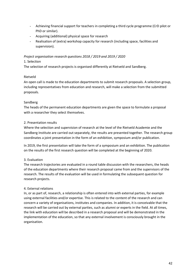- Achieving financial support for teachers in completing a third cycle programme (CrD pilot or PhD or similar).
- Acquiring (additional) physical space for research
- Realisation of (extra) workshop capacity for research (including space, facilities and supervision).

#### *Project organisation research questions 2018 / 2019 and 2019 / 2020*

#### 1. Selection

The selection of research projects is organised differently at Rietveld and Sandberg.

#### Rietveld

An open call is made to the education departments to submit research proposals. A selection group, including representatives from education and research, will make a selection from the submitted proposals.

#### Sandberg

The heads of the permanent education departments are given the space to formulate a proposal with a researcher they select themselves.

#### 2. Presentation results

Where the selection and supervision of research at the level of the Rietveld Academie and the Sandberg Institute are carried out separately, the results are presented together. The research group coordinates a joint presentation in the form of an exhibition, symposium and/or publication.

In 2019, the first presentation will take the form of a symposium and an exhibition. The publication on the results of the first research question will be completed at the beginning of 2020.

#### 3. Evaluation

The research trajectories are evaluated in a round table discussion with the researchers, the heads of the education departments where their research proposal came from and the supervisors of the research. The results of the evaluation will be used in formulating the subsequent question for research projects.

#### 4. External relations

In, or as part of, research, a relationship is often entered into with external parties, for example using external facilities and/or expertise. This is related to the content of the research and can concern a variety of organisations, institutes and companies. In addition, it is conceivable that the research will be carried out by external parties, such as alumni or experts in the field. At all times, the link with education will be described in a research proposal and will be demonstrated in the implementation of the education, so that any external involvement is consciously brought in the organisation.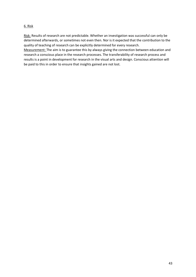#### 6. Risk

Risk: Results of research are not predictable. Whether an investigation was successful can only be determined afterwards, or sometimes not even then. Nor is it expected that the contribution to the quality of teaching of research can be explicitly determined for every research. Measurement: The aim is to guarantee this by always giving the connection between education and research a conscious place in the research processes. The transferability of research process and results is a point in development for research in the visual arts and design. Conscious attention will

be paid to this in order to ensure that insights gained are not lost.

43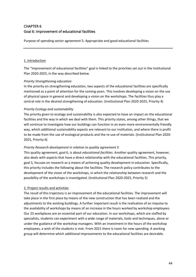# CHAPTER 6 Goal 6: Improvement of educational facilities

Purpose of spending sector agreement 5: Appropriate and good educational facilities

#### 1. Introduction

The "Improvement of educational facilities" goal is linked to the priorities set out in the Institutional Plan 2020-2025, in the way described below.

#### *Priority Strengthening education*

In the priority on strengthening education, two aspects of the educational facilities are specifically mentioned as a point of attention for the coming years. This involves developing a vision on the use of physical space in general and developing a vision on the workshops. The facilities thus play a central role in the desired strengthening of education. (Institutional Plan 2020-2025, Priority 4)

#### *Priority Ecology and sustainability*

The priority given to ecology and sustainability is also expected to have an impact on the educational facilities and the way in which we deal with them. This priority states, among other things, that we will continue to investigate how our buildings can function in an even more environmentally friendly way, which additional sustainability aspects are relevant to our institution, and where there is profit to be made from the use of ecological products and the re-use of materials. (Institutional Plan 2020- 2025, Priority 6)

#### *Priority Research development in relation to quality agreement 5*

This quality agreement, goal 6, is about *educational facilities*. Another quality agreement, however, also deals with aspects that have a direct relationship with the educational facilities. This priority, goal 5, focuses on research as a means of achieving quality development in education. Specifically, this priority includes the following about the facilities: The research policy contributes to the development of the vision of the workshops, in which the relationship between research and the possibility of the workshops is investigated. (Institutional Plan 2020-2025, Priority 5)

#### 2. Project results and activities

The result of this trajectory is an improvement of the educational facilities. The improvement will take place in the first place by means of the new construction that has been realized and the adjustments to the existing buildings. A further important result is the realisation of an impulse to the availability of workshops by means of an increase in the hours worked by workshop employees. Our 23 workplaces are an essential part of our education. In our workshops, which are staffed by specialists, students can experiment with a wide range of materials, tools and techniques, alone or under the guidance of the workshop managers. With an investment in the hours of the workshop employees, a wish of the students is met. From 2021 there is room for new spending. A working group will determine which additional improvements to the educational facilities are desirable.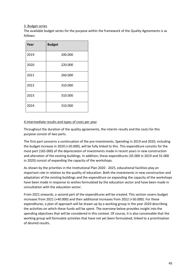#### 3. Budget series

The available budget series for the purpose within the framework of the Quality Agreements is as follows:

| Year | <b>Budget</b> |
|------|---------------|
| 2019 | 200.000       |
| 2020 | 220.000       |
| 2021 | 260.000       |
| 2022 | 310.000       |
| 2023 | 310.000       |
| 2024 | 310.000       |

# 4.Intermediate results and types of costs per year

Throughout the duration of the quality agreements, the interim results and the costs for this purpose consist of two parts.

The first part concerns a continuation of the pre-investments. Spending in 2019 and 2020, including the budget increase in 2020 (+20.000), will be fully linked to this. This expenditure consists for the most part (165.000) of the depreciation of investments made in recent years in new construction and alteration of the existing buildings. In addition, these expenditures (35.000 in 2019 and 55.000 in 2020) consist of expanding the capacity of the workshops.

As shown by the priorities in the Institutional Plan 2020 - 2025, educational facilities play an important role in relation to the quality of education. Both the investments in new construction and adaptation of the existing buildings and the expenditure on expanding the capacity of the workshops have been made in response to wishes formulated by the education sector and have been made in consultation with the education sector.

From 2021 onwards, a second part of the expenditures will be created. This section covers budget increases from 2021 (+40.000) and then additional increases from 2022 (+50.000). For these expenditures, a plan of approach will be drawn up by a working group in the year 2020 describing the activities on which these funds will be spent. The overview below provides insight into the spending objectives that will be considered in this context. Of course, it is also conceivable that the working group will formulate activities that have not yet been formulated, linked to a prioritisation of desired results.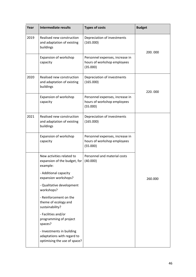| Year | <b>Intermediate results</b>                                                             | <b>Types of costs</b>                                                      | <b>Budget</b> |
|------|-----------------------------------------------------------------------------------------|----------------------------------------------------------------------------|---------------|
| 2019 | Realised new construction<br>and adaptation of existing<br>buildings                    | Depreciation of investments<br>(165.000)                                   | 200.000       |
|      | Expansion of workshop<br>capacity                                                       | Personnel expenses, increase in<br>hours of workshop employees<br>(35.000) |               |
| 2020 | Realised new construction<br>and adaptation of existing<br>buildings                    | Depreciation of investments<br>(165.000)                                   | 220.000       |
|      | Expansion of workshop<br>capacity                                                       | Personnel expenses, increase in<br>hours of workshop employees<br>(55.000) |               |
| 2021 | Realised new construction<br>and adaptation of existing<br>buildings                    | Depreciation of investments<br>(165.000)                                   |               |
|      | Expansion of workshop<br>capacity                                                       | Personnel expenses, increase in<br>hours of workshop employees<br>(55.000) |               |
|      | New activities related to<br>expansion of the budget, for<br>example:                   | Personnel and material costs<br>(40.000)                                   |               |
|      | - Additional capacity<br>expansion workshops?                                           |                                                                            | 260.000       |
|      | - Qualitative development<br>workshops?                                                 |                                                                            |               |
|      | - Reinforcement on the<br>theme of ecology and<br>sustainability?                       |                                                                            |               |
|      | - Facilities and/or<br>programming of project<br>spaces?                                |                                                                            |               |
|      | - Investments in building<br>adaptations with regard to<br>optimising the use of space? |                                                                            |               |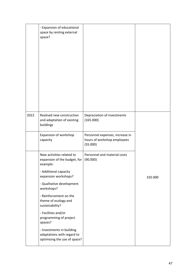|      | - Expansion of educational<br>space by renting external<br>space?                                                                                                                                                                                                                                                                                                                             |                                                                            |         |
|------|-----------------------------------------------------------------------------------------------------------------------------------------------------------------------------------------------------------------------------------------------------------------------------------------------------------------------------------------------------------------------------------------------|----------------------------------------------------------------------------|---------|
| 2022 | Realised new construction<br>and adaptation of existing<br>buildings                                                                                                                                                                                                                                                                                                                          | Depreciation of investments<br>(165.000)                                   |         |
|      | Expansion of workshop<br>capacity                                                                                                                                                                                                                                                                                                                                                             | Personnel expenses, increase in<br>hours of workshop employees<br>(55.000) |         |
|      | New activities related to<br>expansion of the budget, for<br>example:<br>- Additional capacity<br>expansion workshops?<br>- Qualitative development<br>workshops?<br>- Reinforcement on the<br>theme of ecology and<br>sustainability?<br>- Facilities and/or<br>programming of project<br>spaces?<br>- Investments in building<br>adaptations with regard to<br>optimising the use of space? | Personnel and material costs<br>(90.000)                                   | 310.000 |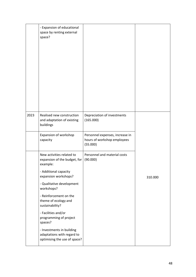|      | - Expansion of educational<br>space by renting external<br>space?                                                                                                                                                                                                                                  |                                                                            |         |
|------|----------------------------------------------------------------------------------------------------------------------------------------------------------------------------------------------------------------------------------------------------------------------------------------------------|----------------------------------------------------------------------------|---------|
| 2023 | Realised new construction<br>and adaptation of existing<br>buildings                                                                                                                                                                                                                               | Depreciation of investments<br>(165.000)                                   |         |
|      | Expansion of workshop<br>capacity                                                                                                                                                                                                                                                                  | Personnel expenses, increase in<br>hours of workshop employees<br>(55.000) |         |
|      | New activities related to<br>expansion of the budget, for<br>example:<br>- Additional capacity<br>expansion workshops?<br>- Qualitative development<br>workshops?<br>- Reinforcement on the<br>theme of ecology and<br>sustainability?<br>- Facilities and/or<br>programming of project<br>spaces? | Personnel and material costs<br>(90.000)                                   | 310.000 |
|      | - Investments in building<br>adaptations with regard to<br>optimising the use of space?                                                                                                                                                                                                            |                                                                            |         |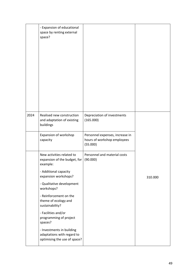|      | - Expansion of educational<br>space by renting external<br>space?                                                      |                                                                            |         |
|------|------------------------------------------------------------------------------------------------------------------------|----------------------------------------------------------------------------|---------|
| 2024 | Realised new construction<br>and adaptation of existing<br>buildings                                                   | Depreciation of investments<br>(165.000)                                   |         |
|      | Expansion of workshop<br>capacity                                                                                      | Personnel expenses, increase in<br>hours of workshop employees<br>(55.000) |         |
|      | New activities related to<br>expansion of the budget, for<br>example:<br>- Additional capacity<br>expansion workshops? | Personnel and material costs<br>(90.000)                                   | 310.000 |
|      | - Qualitative development<br>workshops?                                                                                |                                                                            |         |
|      | - Reinforcement on the<br>theme of ecology and<br>sustainability?                                                      |                                                                            |         |
|      | - Facilities and/or<br>programming of project<br>spaces?                                                               |                                                                            |         |
|      | - Investments in building<br>adaptations with regard to<br>optimising the use of space?                                |                                                                            |         |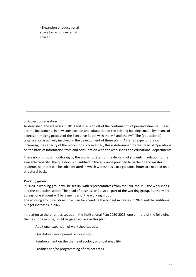| - Expansion of educational<br>space by renting external<br>space? |  |
|-------------------------------------------------------------------|--|
|                                                                   |  |
|                                                                   |  |
|                                                                   |  |
|                                                                   |  |

#### 5. Project organisation

As described, the activities in 2019 and 2020 consist of the continuation of pre-investments. These are the investments in new construction and adaptation of the existing buildings made by means of a decision-making process of the Executive Board with the MR and the RvT. The (educational) organisation is actively involved in the development of these plans. As far as expenditure on increasing the capacity of the workshops is concerned, this is determined by the Head of Operations on the basis of information from and consultation with the workshops and educational departments.

There is continuous monitoring by the workshop staff of the demand of students in relation to the available capacity. The question is quantified in the guidance provided to bachelor and master students, so that it can be substantiated in which workshops extra guidance hours are needed on a structural basis.

#### *Working group*

In 2020, a working group will be set up, with representatives from the CvB, the MR, the workshops and the education sector. The head of business will also be part of the working group. Furthermore, at least one student will be a member of the working group.

The working group will draw up a plan for spending the budget increases in 2021 and the additional budget increases in 2022.

In relation to the priorities set out in the Institutional Plan 2020-2025, one or more of the following themes, for example, could be given a place in this plan:

Additional expansion of workshop capacity

Qualitative development of workshops

Reinforcement on the theme of ecology and sustainability

Facilities and/or programming of project areas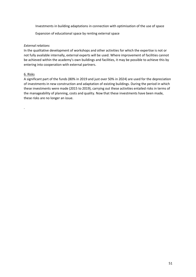Investments in building adaptations in connection with optimisation of the use of space

Expansion of educational space by renting external space

#### *External relations*

In the qualitative development of workshops and other activities for which the expertise is not or not fully available internally, external experts will be used. Where improvement of facilities cannot be achieved within the academy's own buildings and facilities, it may be possible to achieve this by entering into cooperation with external partners.

#### 6. Risks

.

A significant part of the funds (80% in 2019 and just over 50% in 2024) are used for the depreciation of investments in new construction and adaptation of existing buildings. During the period in which these investments were made (2015 to 2019), carrying out these activities entailed risks in terms of the manageability of planning, costs and quality. Now that these investments have been made, these risks are no longer an issue.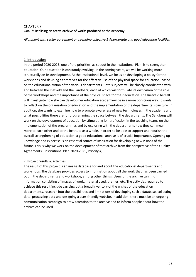# CHAPTER 7 Goal 7: Realising an active archive of works produced at the academy

*Alignment with sector agreement on spending objective 5 Appropriate and good education facilities*

# 1. Introduction

In the period 2020-2025, one of the priorities, as set out in the Institutional Plan, is to strengthen education. Our education is constantly evolving. In the coming years, we will be working more structurally on its development. At the institutional level, we focus on developing a policy for the workshops and devising alternatives for the effective use of the physical space for education, based on the educational vision of the various departments. Both subjects will be closely coordinated with and between the Rietveld and the Sandberg, each of which will formulate its own vision of the role of the workshops and the importance of the physical space for their education. The Rietveld herself will investigate how she can develop her education academy-wide in a more conscious way. It wants to reflect on the organisation of education and the implementation of the departmental structure. In addition, she wants to examine how to promote awareness of new technologies in the academy and what possibilities there are for programming the space between the departments. The Sandberg will work on the development of education by stimulating joint reflection in the teaching teams on the implementation of the programmes and by exploring with the departments how they can mean more to each other and to the institute as a whole. In order to be able to support and nourish the overall strengthening of education, a good educational archive is of crucial importance. Opening up knowledge and expertise is an essential source of inspiration for developing new visions of the future. This is why we work on the development of that archive from the perspective of the Quality Agreements. (Institutional Plan 2020-2025, Priority 4)

#### 2. Project results & activities

The result of this project is an image database for and about the educational departments and workshops. The database provides access to information about all the work that has been carried out in the departments and workshops, among other things. Users of the archive can find information consisting of images of work, material used, themes, etc. The activities required to achieve this result include carrying out a broad inventory of the wishes of the education departments, research into the possibilities and limitations of developing such a database, collecting data, processing data and designing a user-friendly website. In addition, there must be an ongoing communication campaign to draw attention to the archive and to inform people about how the archive can be used.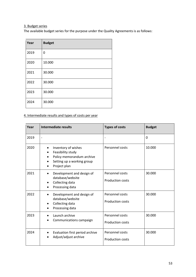# 3. Budget series

The available budget series for the purpose under the Quality Agreements is as follows:

| Year | <b>Budget</b> |
|------|---------------|
| 2019 | 0             |
| 2020 | 10.000        |
| 2021 | 30.000        |
| 2022 | 30.000        |
| 2023 | 30.000        |
| 2024 | 30.000        |

# 4. Intermediate results and types of costs per year

| Year | Intermediate results                                                                                                             | <b>Types of costs</b>                      | <b>Budget</b> |
|------|----------------------------------------------------------------------------------------------------------------------------------|--------------------------------------------|---------------|
| 2019 | $\overline{\phantom{0}}$                                                                                                         |                                            | $\Omega$      |
| 2020 | Inventory of wishes<br>$\bullet$<br>Feasibility study<br>Policy memorandum archive<br>Setting up a working group<br>Project plan | Personnel costs                            | 10.000        |
| 2021 | Development and design of<br>$\bullet$<br>database/website<br>Collecting data<br>Processing data                                 | Personnel costs<br><b>Production costs</b> | 30.000        |
| 2022 | Development and design of<br>$\bullet$<br>database/website<br>Collecting data<br>Processing data                                 | Personnel costs<br><b>Production costs</b> | 30.000        |
| 2023 | Launch archive<br>Communications campaign                                                                                        | Personnel costs<br><b>Production costs</b> | 30.000        |
| 2024 | Evaluation first period archive<br>Adjust/adjust archive                                                                         | Personnel costs<br><b>Production costs</b> | 30.000        |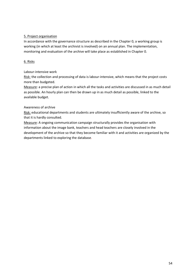#### 5. Project organisation

In accordance with the governance structure as described in the Chapter 0, a working group is working (in which at least the archivist is involved) on an annual plan. The implementation, monitoring and evaluation of the archive will take place as established in Chapter 0.

#### 6. Risks

#### Labour-intensive work

Risk: the collection and processing of data is labour-intensive, which means that the project costs more than budgeted.

Measure: a precise plan of action in which all the tasks and activities are discussed in as much detail as possible. An hourly plan can then be drawn up in as much detail as possible, linked to the available budget.

# Awareness of archive

Risk: educational departments and students are ultimately insufficiently aware of the archive, so that it is hardly consulted.

Measure: A ongoing communication campaign structurally provides the organisation with information about the image bank, teachers and head teachers are closely involved in the development of the archive so that they become familiar with it and activities are organized by the departments linked to exploring the database.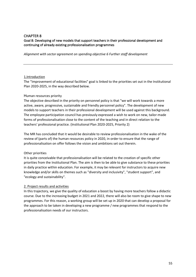#### CHAPTER 8 Goal 8: Developing of new models that support teachers in their professional development and continuing of already existing professionalisation programmes

*Alignment with sector agreement on spending objective 6 Further staff development*

#### 1.Introduction

The "Improvement of educational facilities" goal is linked to the priorities set out in the Institutional Plan 2020-2025, in the way described below.

#### Human resources priority

The objective described in the priority on personnel policy is that "we will work towards a more active, aware, progressive, sustainable and friendly personnel policy". The development of new models to support teachers in their professional development will be used against this background. The employee participation council has previously expressed a wish to work on new, tailor-made forms of professionalisation close to the content of the teaching and in direct relation to the teachers' professional practice. (Institutional Plan 2020-2025, Priority 2)

The MR has concluded that it would be desirable to review professionalisation in the wake of the review of (parts of) the human resources policy in 2020, in order to ensure that the range of professionalisation on offer follows the vision and ambitions set out therein.

#### Other priorities

It is quite conceivable that professionalisation will be related to the creation of specific other priorities from the Institutional Plan. The aim is then to be able to give substance to these priorities in daily practice within education. For example, it may be relevant for instructors to acquire new knowledge and/or skills on themes such as "diversity and inclusivity", "student support", and "ecology and sustainability".

# 2. Project results and activities

In this trajectory, we give the quality of education a boost by having more teachers follow a didactic course. Due to the increasing budget in 2021 and 2022, there will also be room to give shape to new programmes. For this reason, a working group will be set up in 2020 that can develop a proposal for the approach to be taken in developing a new programme / new programmes that respond to the professionalisation needs of our instructors.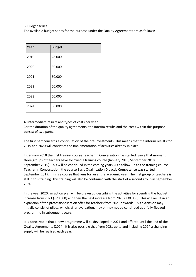#### 3. Budget series

The available budget series for the purpose under the Quality Agreements are as follows:

| Year | <b>Budget</b> |
|------|---------------|
| 2019 | 28.000        |
| 2020 | 30.000        |
| 2021 | 50.000        |
| 2022 | 50.000        |
| 2023 | 60.000        |
| 2024 | 60.000        |

#### 4. Intermediate results and types of costs per year

For the duration of the quality agreements, the interim results and the costs within this purpose consist of two parts.

The first part concerns a continuation of the pre-investments. This means that the interim results for 2019 and 2020 will consist of the implementation of activities already in place.

In January 2018 the first training course Teacher in Conversation has started. Since that moment, three groups of teachers have followed a training course (January 2018, September 2018, September 2019). This will be continued in the coming years. As a follow-up to the training course Teacher in Conversation, the course Basic Qualification Didactic Competence was started in September 2019. This is a course that runs for an entire academic year. The first group of teachers is still in this training. This training will also be continued with the start of a second group in September 2020.

In the year 2020, an action plan will be drawn up describing the activities for spending the budget increase from 2021 (+20.000) and then the next increase from 2023 (+30.000). This will result in an expansion of the professionalisation offer for teachers from 2021 onwards. This extension may initially consist of pilots, which, after evaluation, may or may not be continued as a fully-fledged programme in subsequent years.

It is conceivable that a new programme will be developed in 2021 and offered until the end of the Quality Agreements (2024). It is also possible that from 2021 up to and including 2024 a changing supply will be realised each year.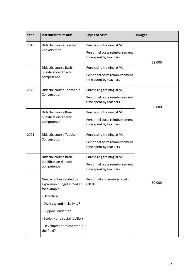| Year | <b>Intermediate results</b>                                             | <b>Types of costs</b>                                                                | <b>Budget</b> |
|------|-------------------------------------------------------------------------|--------------------------------------------------------------------------------------|---------------|
| 2019 | Didactic course Teacher in<br>Conversation                              | Purchasing training at VU<br>Personnel costs reimbursement<br>time spent by teachers | 28.000        |
|      | <b>Didactic course Basic</b><br>qualification didactic<br>competence    | Purchasing training at VU<br>Personnel costs reimbursement<br>time spent by teachers |               |
| 2020 | Didactic course Teacher in<br>Conversation                              | Purchasing training at VU<br>Personnel costs reimbursement<br>time spent by teachers | 30.000        |
|      | <b>Didactic course Basic</b><br>qualification didactic<br>competence    | Purchasing training at VU<br>Personnel costs reimbursement<br>time spent by teachers |               |
| 2021 | Didactic course Teacher in<br>Conversation                              | Purchasing training at VU<br>Personnel costs reimbursement<br>time spent by teachers |               |
|      | Didactic course Basic<br>qualification didactic<br>competence           | Purchasing training at VU<br>Personnel costs reimbursement<br>time spent by teachers |               |
|      | New activities related to<br>expansion budget aimed at,<br>for example: | Personnel and material costs<br>(20.000)                                             | 50.000        |
|      | - Didactics?                                                            |                                                                                      |               |
|      | - Diversity and inclusivity?                                            |                                                                                      |               |
|      | - Support students?                                                     |                                                                                      |               |
|      | - Ecology and sustainability?                                           |                                                                                      |               |
|      | - Development of content in<br>the field?                               |                                                                                      |               |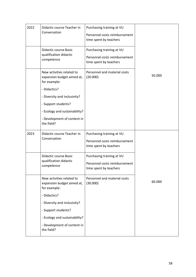| 2022 | Didactic course Teacher in<br>Conversation                              | Purchasing training at VU                               |        |
|------|-------------------------------------------------------------------------|---------------------------------------------------------|--------|
|      |                                                                         | Personnel costs reimbursement<br>time spent by teachers |        |
|      | <b>Didactic course Basic</b><br>qualification didactic                  | Purchasing training at VU                               |        |
|      | competence                                                              | Personnel costs reimbursement<br>time spent by teachers |        |
|      | New activities related to<br>expansion budget aimed at,<br>for example: | Personnel and material costs<br>(20.000)                | 50.000 |
|      | - Didactics?                                                            |                                                         |        |
|      | - Diversity and inclusivity?                                            |                                                         |        |
|      | - Support students?                                                     |                                                         |        |
|      | - Ecology and sustainability?                                           |                                                         |        |
|      | - Development of content in<br>the field?                               |                                                         |        |
| 2023 | Didactic course Teacher in                                              | Purchasing training at VU                               |        |
|      | Conversation                                                            | Personnel costs reimbursement<br>time spent by teachers |        |
|      | Didactic course Basic                                                   | Purchasing training at VU                               |        |
|      | qualification didactic<br>competence                                    | Personnel costs reimbursement<br>time spent by teachers |        |
|      | New activities related to<br>expansion budget aimed at,<br>for example: | Personnel and material costs<br>(30.000)                | 60.000 |
|      | - Didactics?                                                            |                                                         |        |
|      | - Diversity and inclusivity?                                            |                                                         |        |
|      | - Support students?                                                     |                                                         |        |
|      | - Ecology and sustainability?                                           |                                                         |        |
|      | - Development of content in<br>the field?                               |                                                         |        |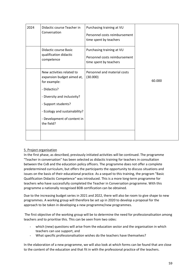| 2024 | Didactic course Teacher in<br>Conversation                                                                                                                                                                                   | Purchasing training at VU<br>Personnel costs reimbursement<br>time spent by teachers |        |
|------|------------------------------------------------------------------------------------------------------------------------------------------------------------------------------------------------------------------------------|--------------------------------------------------------------------------------------|--------|
|      | Didactic course Basic<br>qualification didactic<br>competence                                                                                                                                                                | Purchasing training at VU<br>Personnel costs reimbursement<br>time spent by teachers |        |
|      | New activities related to<br>expansion budget aimed at,<br>for example:<br>- Didactics?<br>- Diversity and inclusivity?<br>- Support students?<br>- Ecology and sustainability?<br>- Development of content in<br>the field? | Personnel and material costs<br>(30.000)                                             | 60.000 |
|      |                                                                                                                                                                                                                              |                                                                                      |        |

#### 5. Project organisation

In the first phase, as described, previously initiated activities will be continued. The programme "Teacher in conversation" has been selected as didactic training for teachers in consultation between the CvB and the education policy officers. The programme does not offer a complete predetermined curriculum, but offers the participants the opportunity to discuss situations and issues on the basis of their educational practice. As a sequel to this training, the program "Basic Qualification Didactic Competence" was introduced. This is a more long-term programme for teachers who have successfully completed the Teacher in Conversation programme. With this programme a nationally recognised BDB certification can be obtained.

Due to the increasing budget series in 2021 and 2022, there will also be room to give shape to new programmes. A working group will therefore be set up in 2020 to develop a proposal for the approach to be taken in developing a new programme/new programmes.

The first objective of the working group will be to determine the need for professionalisation among teachers and to prioritise this. This can be seen from two sides:

- which (new) questions will arise from the education sector and the organisation in which teachers can use support, and
- What specific professionalisation wishes do the teachers have themselves?

In the elaboration of a new programme, we will also look at which forms can be found that are close to the content of the education and that fit in with the professional practice of the teachers.